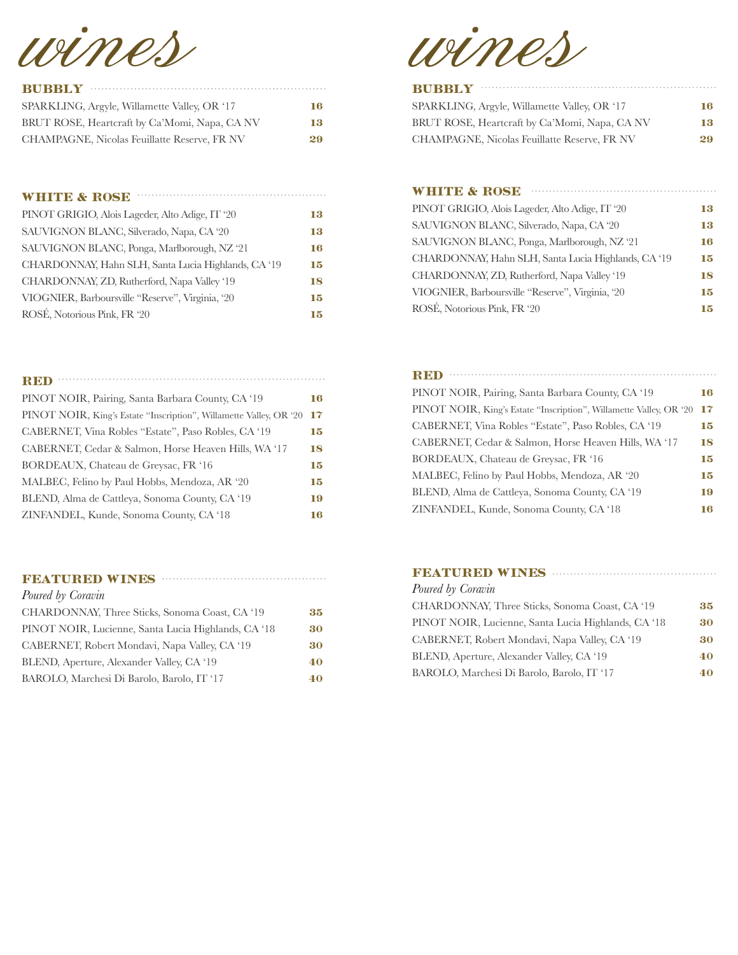wines

| SPARKLING, Argyle, Willamette Valley, OR '17  | 16. |
|-----------------------------------------------|-----|
| BRUT ROSE, Heartcraft by Ca'Momi, Napa, CA NV | 13  |
| CHAMPAGNE, Nicolas Feuillatte Reserve, FR NV  | 29  |

| <b>WHITE &amp; ROSE</b>                             |    |
|-----------------------------------------------------|----|
| PINOT GRIGIO, Alois Lageder, Alto Adige, IT '20     | 13 |
| SAUVIGNON BLANC, Silverado, Napa, CA '20            | 13 |
| SAUVIGNON BLANC, Ponga, Marlborough, NZ '21         | 16 |
| CHARDONNAY, Hahn SLH, Santa Lucia Highlands, CA '19 | 15 |
| CHARDONNAY, ZD, Rutherford, Napa Valley '19         | 18 |
| VIOGNIER, Barboursville "Reserve", Virginia, '20    | 15 |
| ROSÉ, Notorious Pink, FR '20                        | 15 |

| <b>RED</b>                                                         |    |
|--------------------------------------------------------------------|----|
| PINOT NOIR, Pairing, Santa Barbara County, CA '19                  | 16 |
| PINOT NOIR, King's Estate "Inscription", Willamette Valley, OR '20 | 17 |
| CABERNET, Vina Robles "Estate", Paso Robles, CA '19                | 15 |
| CABERNET, Cedar & Salmon, Horse Heaven Hills, WA '17               | 18 |
| BORDEAUX, Chateau de Greysac, FR '16                               | 15 |
| MALBEC, Felino by Paul Hobbs, Mendoza, AR '20                      | 15 |
| BLEND, Alma de Cattleya, Sonoma County, CA '19                     | 19 |
| ZINFANDEL, Kunde, Sonoma County, CA '18                            | 16 |

#### **FEATURED WINES EXECUTED**

| Poured by Coravin                                   |    |
|-----------------------------------------------------|----|
| CHARDONNAY, Three Sticks, Sonoma Coast, CA '19      | 35 |
| PINOT NOIR, Lucienne, Santa Lucia Highlands, CA '18 | 30 |
| CABERNET, Robert Mondavi, Napa Valley, CA '19       | 30 |
| BLEND, Aperture, Alexander Valley, CA '19           | 40 |
| BAROLO, Marchesi Di Barolo, Barolo, IT '17          | 40 |